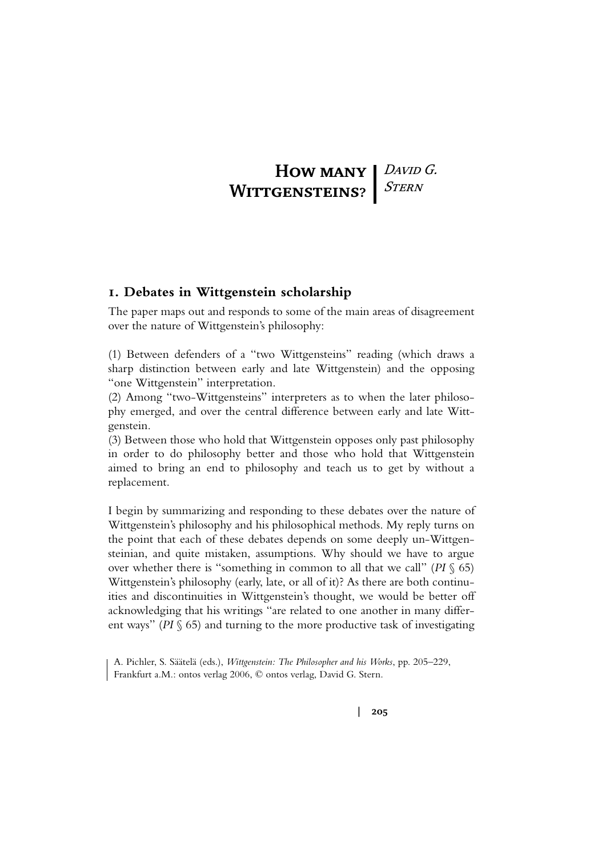#### **How many Wittgensteins?** David G. Stern

# **1. Debates in Wittgenstein scholarship**

The paper maps out and responds to some of the main areas of disagreement over the nature of Wittgenstein's philosophy:

(1) Between defenders of a "two Wittgensteins" reading (which draws a sharp distinction between early and late Wittgenstein) and the opposing "one Wittgenstein" interpretation.

(2) Among "two-Wittgensteins" interpreters as to when the later philosophy emerged, and over the central difference between early and late Wittgenstein.

(3) Between those who hold that Wittgenstein opposes only past philosophy in order to do philosophy better and those who hold that Wittgenstein aimed to bring an end to philosophy and teach us to get by without a replacement.

I begin by summarizing and responding to these debates over the nature of Wittgenstein's philosophy and his philosophical methods. My reply turns on the point that each of these debates depends on some deeply un-Wittgensteinian, and quite mistaken, assumptions. Why should we have to argue over whether there is "something in common to all that we call" (*PI* § 65) Wittgenstein's philosophy (early, late, or all of it)? As there are both continuities and discontinuities in Wittgenstein's thought, we would be better off acknowledging that his writings "are related to one another in many different ways" ( $PI \S 65$ ) and turning to the more productive task of investigating

A. Pichler, S. Säätelä (eds.), *Wittgenstein: The Philosopher and his Works*, pp. 205–229, Frankfurt a.M.: ontos verlag 2006, © ontos verlag, David G. Stern.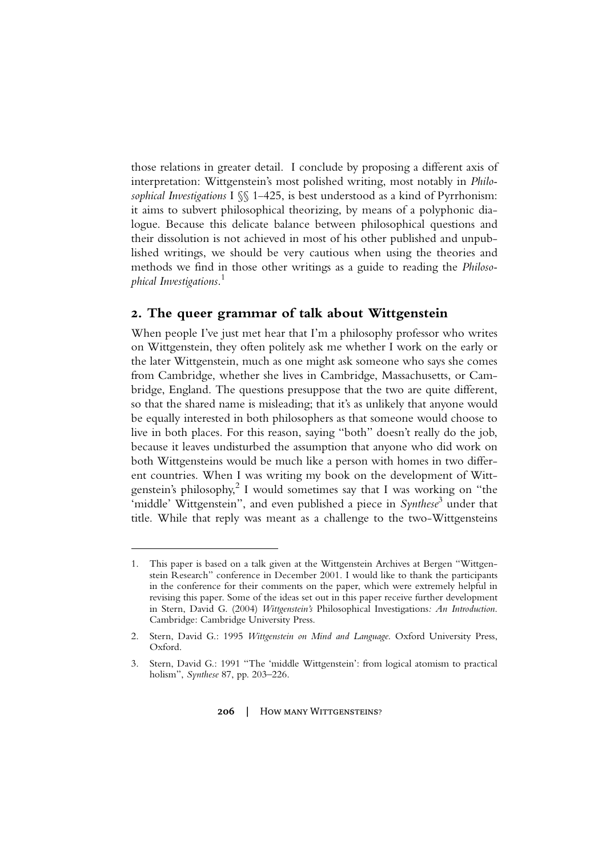those relations in greater detail. I conclude by proposing a different axis of interpretation: Wittgenstein's most polished writing, most notably in *Philosophical Investigations* I §§ 1–425, is best understood as a kind of Pyrrhonism: it aims to subvert philosophical theorizing, by means of a polyphonic dialogue. Because this delicate balance between philosophical questions and their dissolution is not achieved in most of his other published and unpublished writings, we should be very cautious when using the theories and methods we find in those other writings as a guide to reading the *Philosophical Investigations*. 1

### **2. The queer grammar of talk about Wittgenstein**

When people I've just met hear that I'm a philosophy professor who writes on Wittgenstein, they often politely ask me whether I work on the early or the later Wittgenstein, much as one might ask someone who says she comes from Cambridge, whether she lives in Cambridge, Massachusetts, or Cambridge, England. The questions presuppose that the two are quite different, so that the shared name is misleading; that it's as unlikely that anyone would be equally interested in both philosophers as that someone would choose to live in both places. For this reason, saying "both" doesn't really do the job, because it leaves undisturbed the assumption that anyone who did work on both Wittgensteins would be much like a person with homes in two different countries. When I was writing my book on the development of Wittgenstein's philosophy,<sup>2</sup> I would sometimes say that I was working on "the 'middle' Wittgenstein", and even published a piece in *Synthese*<sup>3</sup> under that title. While that reply was meant as a challenge to the two-Wittgensteins

<sup>1.</sup> This paper is based on a talk given at the Wittgenstein Archives at Bergen "Wittgenstein Research" conference in December 2001. I would like to thank the participants in the conference for their comments on the paper, which were extremely helpful in revising this paper. Some of the ideas set out in this paper receive further development in Stern, David G. (2004) *Wittgenstein's* Philosophical Investigations*: An Introduction*. Cambridge: Cambridge University Press.

<sup>2.</sup> Stern, David G.: 1995 *Wittgenstein on Mind and Language*. Oxford University Press, Oxford.

<sup>3.</sup> Stern, David G.: 1991 "The 'middle Wittgenstein': from logical atomism to practical holism", *Synthese* 87, pp. 203–226.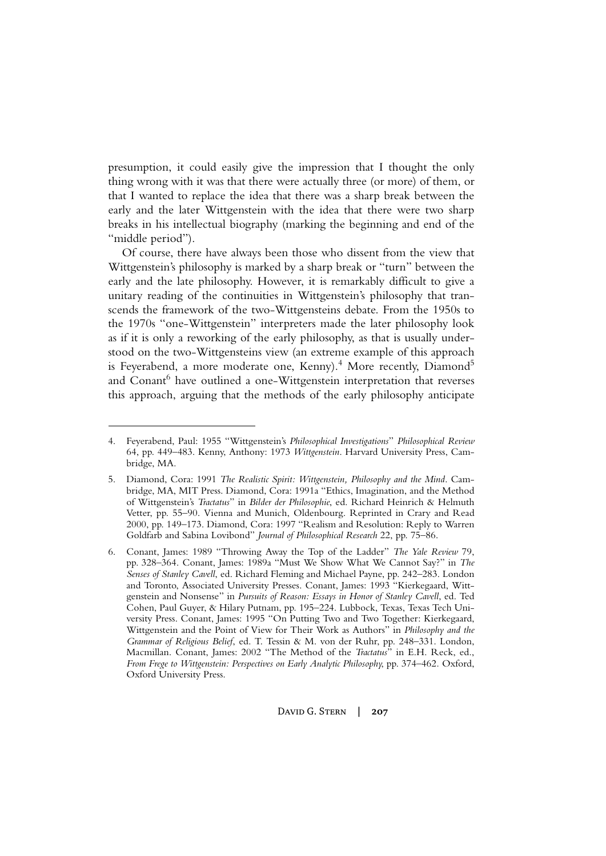presumption, it could easily give the impression that I thought the only thing wrong with it was that there were actually three (or more) of them, or that I wanted to replace the idea that there was a sharp break between the early and the later Wittgenstein with the idea that there were two sharp breaks in his intellectual biography (marking the beginning and end of the "middle period").

Of course, there have always been those who dissent from the view that Wittgenstein's philosophy is marked by a sharp break or "turn" between the early and the late philosophy. However, it is remarkably difficult to give a unitary reading of the continuities in Wittgenstein's philosophy that transcends the framework of the two-Wittgensteins debate. From the 1950s to the 1970s "one-Wittgenstein" interpreters made the later philosophy look as if it is only a reworking of the early philosophy, as that is usually understood on the two-Wittgensteins view (an extreme example of this approach is Feyerabend, a more moderate one, Kenny).<sup>4</sup> More recently, Diamond<sup>5</sup> and Conant $^6$  have outlined a one-Wittgenstein interpretation that reverses this approach, arguing that the methods of the early philosophy anticipate

<sup>4.</sup> Feyerabend, Paul: 1955 "Wittgenstein's *Philosophical Investigations*" *Philosophical Review* 64, pp. 449–483. Kenny, Anthony: 1973 *Wittgenstein*. Harvard University Press, Cambridge, MA.

<sup>5.</sup> Diamond, Cora: 1991 *The Realistic Spirit: Wittgenstein, Philosophy and the Mind*. Cambridge, MA, MIT Press. Diamond, Cora: 1991a "Ethics, Imagination, and the Method of Wittgenstein's *Tractatus*" in *Bilder der Philosophie*, ed. Richard Heinrich & Helmuth Vetter, pp. 55–90. Vienna and Munich, Oldenbourg. Reprinted in Crary and Read 2000, pp. 149–173. Diamond, Cora: 1997 "Realism and Resolution: Reply to Warren Goldfarb and Sabina Lovibond" *Journal of Philosophical Research* 22, pp. 75–86.

<sup>6.</sup> Conant, James: 1989 "Throwing Away the Top of the Ladder" *The Yale Review* 79, pp. 328–364. Conant, James: 1989a "Must We Show What We Cannot Say?" in *The Senses of Stanley Cavell*, ed. Richard Fleming and Michael Payne, pp. 242–283. London and Toronto, Associated University Presses. Conant, James: 1993 "Kierkegaard, Wittgenstein and Nonsense" in *Pursuits of Reason: Essays in Honor of Stanley Cavell*, ed. Ted Cohen, Paul Guyer, & Hilary Putnam, pp. 195–224. Lubbock, Texas, Texas Tech University Press. Conant, James: 1995 "On Putting Two and Two Together: Kierkegaard, Wittgenstein and the Point of View for Their Work as Authors" in *Philosophy and the Grammar of Religious Belief*, ed. T. Tessin & M. von der Ruhr, pp. 248–331. London, Macmillan. Conant, James: 2002 "The Method of the *Tractatus*" in E.H. Reck, ed., *From Frege to Wittgenstein: Perspectives on Early Analytic Philosophy*, pp. 374–462*.* Oxford, Oxford University Press.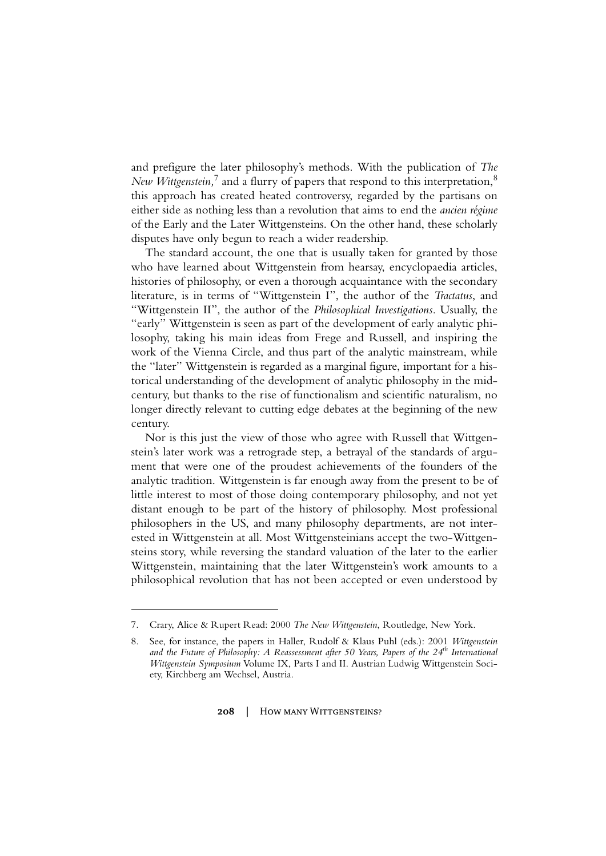and prefigure the later philosophy's methods. With the publication of *The* New Wittgenstein,<sup>7</sup> and a flurry of papers that respond to this interpretation,<sup>8</sup> this approach has created heated controversy, regarded by the partisans on either side as nothing less than a revolution that aims to end the *ancien régime* of the Early and the Later Wittgensteins. On the other hand, these scholarly disputes have only begun to reach a wider readership.

The standard account, the one that is usually taken for granted by those who have learned about Wittgenstein from hearsay, encyclopaedia articles, histories of philosophy, or even a thorough acquaintance with the secondary literature, is in terms of "Wittgenstein I", the author of the *Tractatus*, and "Wittgenstein II", the author of the *Philosophical Investigations*. Usually, the "early" Wittgenstein is seen as part of the development of early analytic philosophy, taking his main ideas from Frege and Russell, and inspiring the work of the Vienna Circle, and thus part of the analytic mainstream, while the "later" Wittgenstein is regarded as a marginal figure, important for a historical understanding of the development of analytic philosophy in the midcentury, but thanks to the rise of functionalism and scientific naturalism, no longer directly relevant to cutting edge debates at the beginning of the new century.

Nor is this just the view of those who agree with Russell that Wittgenstein's later work was a retrograde step, a betrayal of the standards of argument that were one of the proudest achievements of the founders of the analytic tradition. Wittgenstein is far enough away from the present to be of little interest to most of those doing contemporary philosophy, and not yet distant enough to be part of the history of philosophy. Most professional philosophers in the US, and many philosophy departments, are not interested in Wittgenstein at all. Most Wittgensteinians accept the two-Wittgensteins story, while reversing the standard valuation of the later to the earlier Wittgenstein, maintaining that the later Wittgenstein's work amounts to a philosophical revolution that has not been accepted or even understood by

<sup>7.</sup> Crary, Alice & Rupert Read: 2000 *The New Wittgenstein*, Routledge, New York.

<sup>8.</sup> See, for instance, the papers in Haller, Rudolf & Klaus Puhl (eds.): 2001 *Wittgenstein and the Future of Philosophy: A Reassessment after 50 Years, Papers of the 24th International Wittgenstein Symposium* Volume IX, Parts I and II. Austrian Ludwig Wittgenstein Society, Kirchberg am Wechsel, Austria.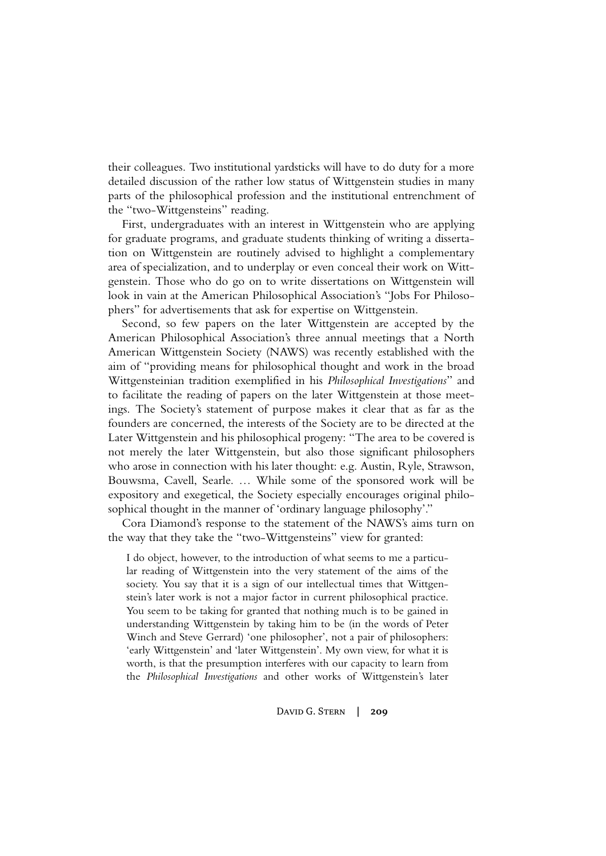their colleagues. Two institutional yardsticks will have to do duty for a more detailed discussion of the rather low status of Wittgenstein studies in many parts of the philosophical profession and the institutional entrenchment of the "two-Wittgensteins" reading.

First, undergraduates with an interest in Wittgenstein who are applying for graduate programs, and graduate students thinking of writing a dissertation on Wittgenstein are routinely advised to highlight a complementary area of specialization, and to underplay or even conceal their work on Wittgenstein. Those who do go on to write dissertations on Wittgenstein will look in vain at the American Philosophical Association's "Jobs For Philosophers" for advertisements that ask for expertise on Wittgenstein.

Second, so few papers on the later Wittgenstein are accepted by the American Philosophical Association's three annual meetings that a North American Wittgenstein Society (NAWS) was recently established with the aim of "providing means for philosophical thought and work in the broad Wittgensteinian tradition exemplified in his *Philosophical Investigations*" and to facilitate the reading of papers on the later Wittgenstein at those meetings. The Society's statement of purpose makes it clear that as far as the founders are concerned, the interests of the Society are to be directed at the Later Wittgenstein and his philosophical progeny: "The area to be covered is not merely the later Wittgenstein, but also those significant philosophers who arose in connection with his later thought: e.g. Austin, Ryle, Strawson, Bouwsma, Cavell, Searle. … While some of the sponsored work will be expository and exegetical, the Society especially encourages original philosophical thought in the manner of 'ordinary language philosophy'."

Cora Diamond's response to the statement of the NAWS's aims turn on the way that they take the "two-Wittgensteins" view for granted:

I do object, however, to the introduction of what seems to me a particular reading of Wittgenstein into the very statement of the aims of the society. You say that it is a sign of our intellectual times that Wittgenstein's later work is not a major factor in current philosophical practice. You seem to be taking for granted that nothing much is to be gained in understanding Wittgenstein by taking him to be (in the words of Peter Winch and Steve Gerrard) 'one philosopher', not a pair of philosophers: 'early Wittgenstein' and 'later Wittgenstein'. My own view, for what it is worth, is that the presumption interferes with our capacity to learn from the *Philosophical Investigations* and other works of Wittgenstein's later

David G. Stern **| 209**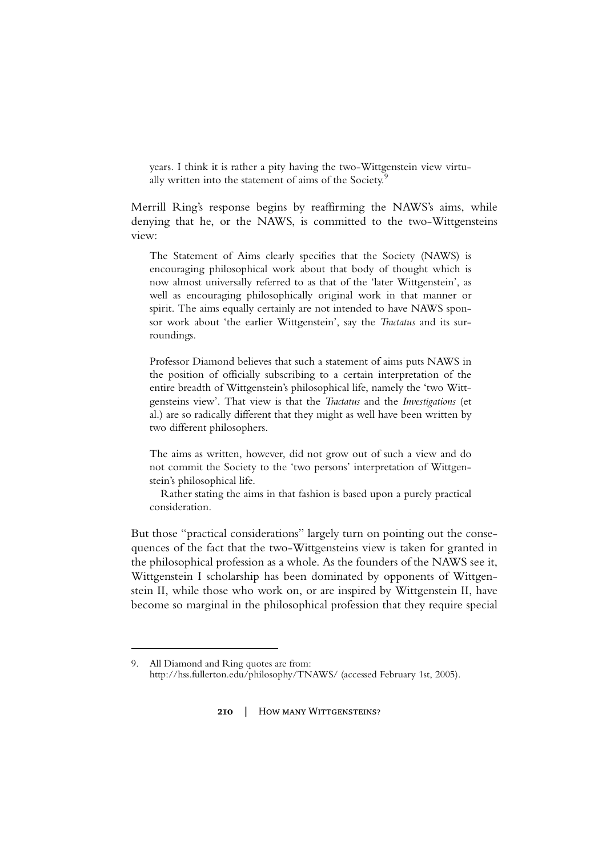years. I think it is rather a pity having the two-Wittgenstein view virtually written into the statement of aims of the Society.<sup>9</sup>

Merrill Ring's response begins by reaffirming the NAWS's aims, while denying that he, or the NAWS, is committed to the two-Wittgensteins view:

The Statement of Aims clearly specifies that the Society (NAWS) is encouraging philosophical work about that body of thought which is now almost universally referred to as that of the 'later Wittgenstein', as well as encouraging philosophically original work in that manner or spirit. The aims equally certainly are not intended to have NAWS sponsor work about 'the earlier Wittgenstein', say the *Tractatus* and its surroundings.

Professor Diamond believes that such a statement of aims puts NAWS in the position of officially subscribing to a certain interpretation of the entire breadth of Wittgenstein's philosophical life, namely the 'two Wittgensteins view'. That view is that the *Tractatus* and the *Investigations* (et al.) are so radically different that they might as well have been written by two different philosophers.

The aims as written, however, did not grow out of such a view and do not commit the Society to the 'two persons' interpretation of Wittgenstein's philosophical life.

Rather stating the aims in that fashion is based upon a purely practical consideration.

But those "practical considerations" largely turn on pointing out the consequences of the fact that the two-Wittgensteins view is taken for granted in the philosophical profession as a whole. As the founders of the NAWS see it, Wittgenstein I scholarship has been dominated by opponents of Wittgenstein II, while those who work on, or are inspired by Wittgenstein II, have become so marginal in the philosophical profession that they require special

<sup>9.</sup> All Diamond and Ring quotes are from: http://hss.fullerton.edu/philosophy/TNAWS/ (accessed February 1st, 2005).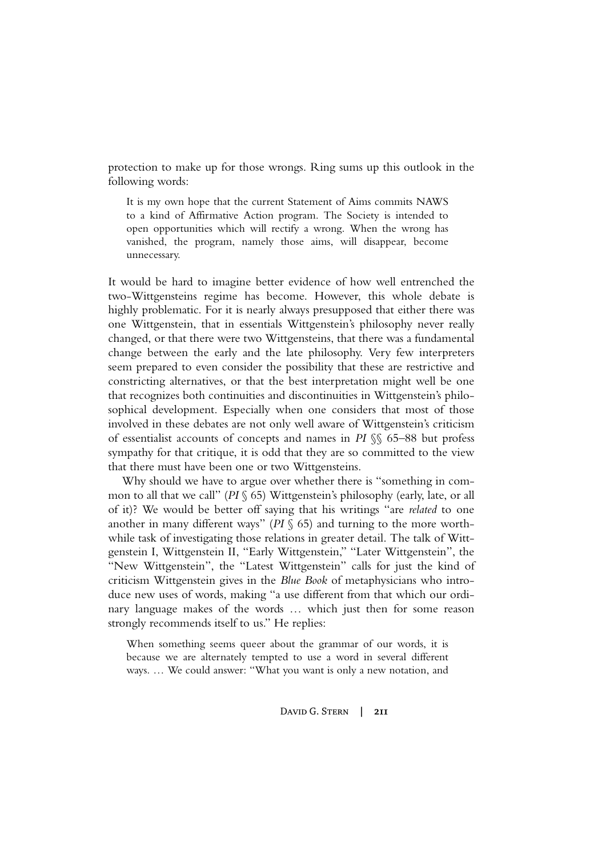protection to make up for those wrongs. Ring sums up this outlook in the following words:

It is my own hope that the current Statement of Aims commits NAWS to a kind of Affirmative Action program. The Society is intended to open opportunities which will rectify a wrong. When the wrong has vanished, the program, namely those aims, will disappear, become unnecessary.

It would be hard to imagine better evidence of how well entrenched the two-Wittgensteins regime has become. However, this whole debate is highly problematic. For it is nearly always presupposed that either there was one Wittgenstein, that in essentials Wittgenstein's philosophy never really changed, or that there were two Wittgensteins, that there was a fundamental change between the early and the late philosophy. Very few interpreters seem prepared to even consider the possibility that these are restrictive and constricting alternatives, or that the best interpretation might well be one that recognizes both continuities and discontinuities in Wittgenstein's philosophical development. Especially when one considers that most of those involved in these debates are not only well aware of Wittgenstein's criticism of essentialist accounts of concepts and names in *PI* §§ 65–88 but profess sympathy for that critique, it is odd that they are so committed to the view that there must have been one or two Wittgensteins.

Why should we have to argue over whether there is "something in common to all that we call" (*PI* § 65) Wittgenstein's philosophy (early, late, or all of it)? We would be better off saying that his writings "are *related* to one another in many different ways" ( $PI \S 65$ ) and turning to the more worthwhile task of investigating those relations in greater detail. The talk of Wittgenstein I, Wittgenstein II, "Early Wittgenstein," "Later Wittgenstein", the "New Wittgenstein", the "Latest Wittgenstein" calls for just the kind of criticism Wittgenstein gives in the *Blue Book* of metaphysicians who introduce new uses of words, making "a use different from that which our ordinary language makes of the words … which just then for some reason strongly recommends itself to us." He replies:

When something seems queer about the grammar of our words, it is because we are alternately tempted to use a word in several different ways. … We could answer: "What you want is only a new notation, and

David G. Stern **| 211**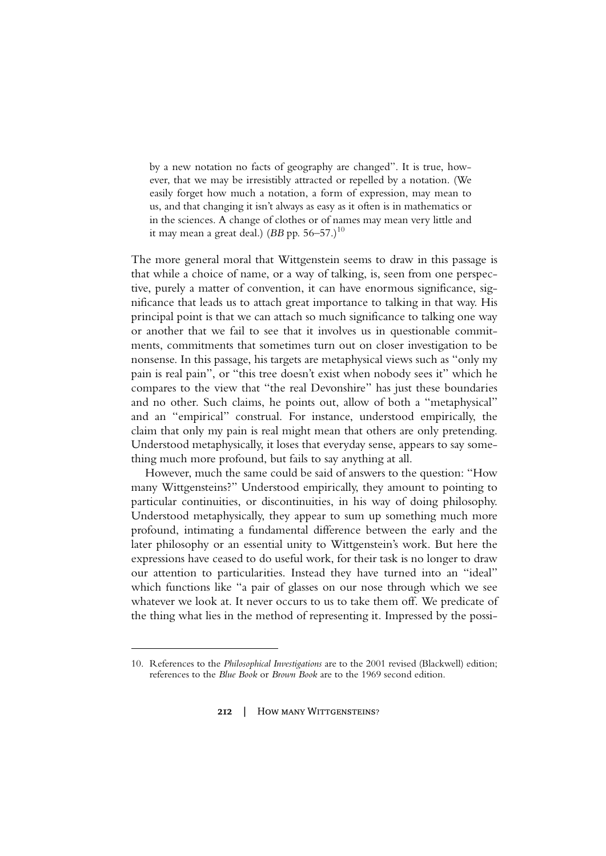by a new notation no facts of geography are changed". It is true, however, that we may be irresistibly attracted or repelled by a notation. (We easily forget how much a notation, a form of expression, may mean to us, and that changing it isn't always as easy as it often is in mathematics or in the sciences. A change of clothes or of names may mean very little and it may mean a great deal.) (*BB* pp. 56–57.)<sup>10</sup>

The more general moral that Wittgenstein seems to draw in this passage is that while a choice of name, or a way of talking, is, seen from one perspective, purely a matter of convention, it can have enormous significance, significance that leads us to attach great importance to talking in that way. His principal point is that we can attach so much significance to talking one way or another that we fail to see that it involves us in questionable commitments, commitments that sometimes turn out on closer investigation to be nonsense. In this passage, his targets are metaphysical views such as "only my pain is real pain", or "this tree doesn't exist when nobody sees it" which he compares to the view that "the real Devonshire" has just these boundaries and no other. Such claims, he points out, allow of both a "metaphysical" and an "empirical" construal. For instance, understood empirically, the claim that only my pain is real might mean that others are only pretending. Understood metaphysically, it loses that everyday sense, appears to say something much more profound, but fails to say anything at all.

However, much the same could be said of answers to the question: "How many Wittgensteins?" Understood empirically, they amount to pointing to particular continuities, or discontinuities, in his way of doing philosophy. Understood metaphysically, they appear to sum up something much more profound, intimating a fundamental difference between the early and the later philosophy or an essential unity to Wittgenstein's work. But here the expressions have ceased to do useful work, for their task is no longer to draw our attention to particularities. Instead they have turned into an "ideal" which functions like "a pair of glasses on our nose through which we see whatever we look at. It never occurs to us to take them off. We predicate of the thing what lies in the method of representing it. Impressed by the possi-

<sup>10.</sup> References to the *Philosophical Investigations* are to the 2001 revised (Blackwell) edition; references to the *Blue Book* or *Brown Book* are to the 1969 second edition.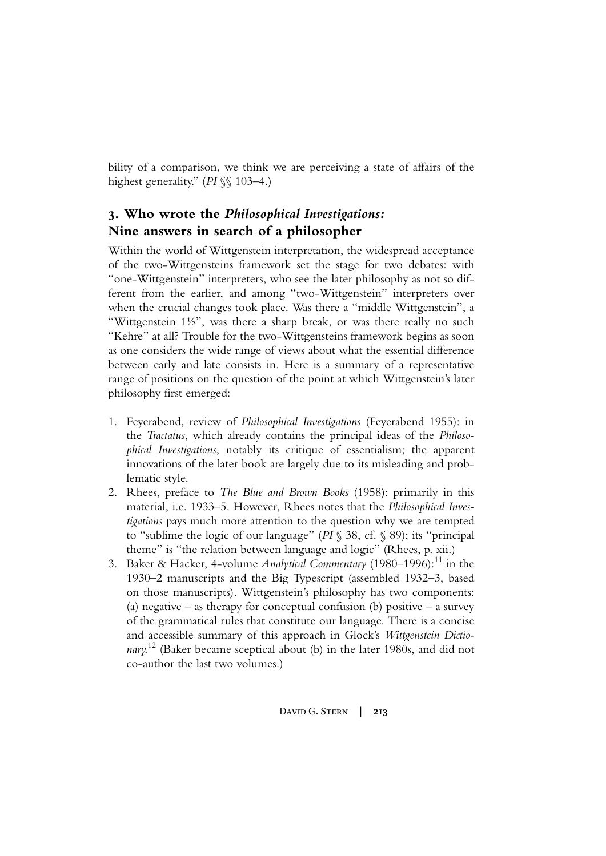bility of a comparison, we think we are perceiving a state of affairs of the highest generality." (*PI* §§ 103–4.)

# **3. Who wrote the** *Philosophical Investigations:* **Nine answers in search of a philosopher**

Within the world of Wittgenstein interpretation, the widespread acceptance of the two-Wittgensteins framework set the stage for two debates: with "one-Wittgenstein" interpreters, who see the later philosophy as not so different from the earlier, and among "two-Wittgenstein" interpreters over when the crucial changes took place. Was there a "middle Wittgenstein", a "Wittgenstein 1½", was there a sharp break, or was there really no such "Kehre" at all? Trouble for the two-Wittgensteins framework begins as soon as one considers the wide range of views about what the essential difference between early and late consists in. Here is a summary of a representative range of positions on the question of the point at which Wittgenstein's later philosophy first emerged:

- 1. Feyerabend, review of *Philosophical Investigations* (Feyerabend 1955): in the *Tractatus*, which already contains the principal ideas of the *Philosophical Investigations*, notably its critique of essentialism; the apparent innovations of the later book are largely due to its misleading and problematic style.
- 2. Rhees, preface to *The Blue and Brown Books* (1958): primarily in this material, i.e. 1933–5. However, Rhees notes that the *Philosophical Investigations* pays much more attention to the question why we are tempted to "sublime the logic of our language" (*PI* § 38, cf. § 89); its "principal theme" is "the relation between language and logic" (Rhees, p. xii.)
- 3. Baker & Hacker, 4-volume *Analytical Commentary* (1980–1996):<sup>11</sup> in the 1930–2 manuscripts and the Big Typescript (assembled 1932–3, based on those manuscripts). Wittgenstein's philosophy has two components: (a) negative – as therapy for conceptual confusion (b) positive – a survey of the grammatical rules that constitute our language. There is a concise and accessible summary of this approach in Glock's *Wittgenstein Dictionary*. 12 (Baker became sceptical about (b) in the later 1980s, and did not co-author the last two volumes.)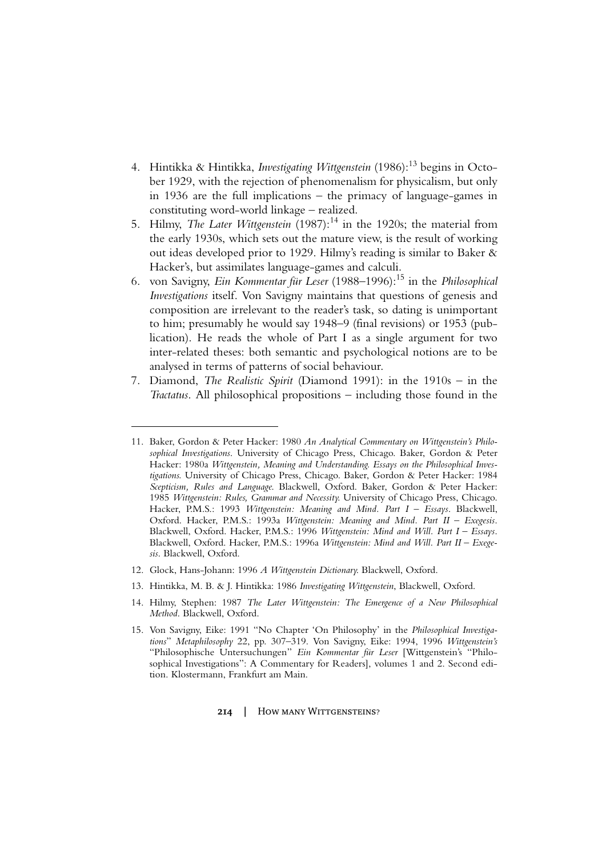- 4. Hintikka & Hintikka, *Investigating Wittgenstein* (1986):13 begins in October 1929, with the rejection of phenomenalism for physicalism, but only in 1936 are the full implications – the primacy of language-games in constituting word-world linkage – realized.
- 5. Hilmy, *The Later Wittgenstein* (1987):<sup>14</sup> in the 1920s; the material from the early 1930s, which sets out the mature view, is the result of working out ideas developed prior to 1929. Hilmy's reading is similar to Baker & Hacker's, but assimilates language-games and calculi.
- 6. von Savigny, *Ein Kommentar für Leser* (1988–1996):15 in the *Philosophical Investigations* itself. Von Savigny maintains that questions of genesis and composition are irrelevant to the reader's task, so dating is unimportant to him; presumably he would say 1948–9 (final revisions) or 1953 (publication). He reads the whole of Part I as a single argument for two inter-related theses: both semantic and psychological notions are to be analysed in terms of patterns of social behaviour.
- 7. Diamond, *The Realistic Spirit* (Diamond 1991): in the 1910s in the *Tractatus*. All philosophical propositions – including those found in the

- 12. Glock, Hans-Johann: 1996 *A Wittgenstein Dictionary*. Blackwell, Oxford.
- 13. Hintikka, M. B. & J. Hintikka: 1986 *Investigating Wittgenstein*, Blackwell, Oxford.
- 14. Hilmy, Stephen: 1987 *The Later Wittgenstein: The Emergence of a New Philosophical Method*. Blackwell, Oxford.

<sup>11.</sup> Baker, Gordon & Peter Hacker: 1980 *An Analytical Commentary on Wittgenstein's Philosophical Investigations*. University of Chicago Press, Chicago. Baker, Gordon & Peter Hacker: 1980a *Wittgenstein, Meaning and Understanding. Essays on the Philosophical Investigations.* University of Chicago Press, Chicago. Baker, Gordon & Peter Hacker: 1984 *Scepticism, Rules and Language*. Blackwell, Oxford. Baker, Gordon & Peter Hacker: 1985 *Wittgenstein: Rules, Grammar and Necessity*. University of Chicago Press, Chicago. Hacker, P.M.S.: 1993 *Wittgenstein: Meaning and Mind. Part I – Essays*. Blackwell, Oxford. Hacker, P.M.S.: 1993a *Wittgenstein: Meaning and Mind. Part II – Exegesis*. Blackwell, Oxford. Hacker, P.M.S.: 1996 *Wittgenstein: Mind and Will. Part I – Essays*. Blackwell, Oxford. Hacker, P.M.S.: 1996a *Wittgenstein: Mind and Will. Part II – Exegesis*. Blackwell, Oxford.

<sup>15.</sup> Von Savigny, Eike: 1991 "No Chapter 'On Philosophy' in the *Philosophical Investigations*" *Metaphilosophy* 22, pp. 307–319. Von Savigny, Eike: 1994, 1996 *Wittgenstein's* "Philosophische Untersuchungen" *Ein Kommentar für Leser* [Wittgenstein's "Philosophical Investigations": A Commentary for Readers], volumes 1 and 2. Second edition. Klostermann, Frankfurt am Main.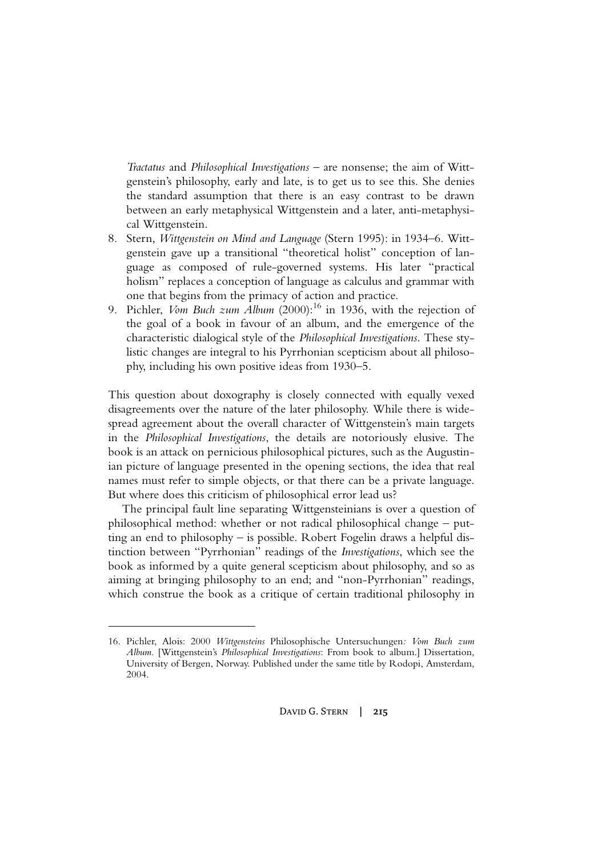*Tractatus* and *Philosophical Investigations –* are nonsense; the aim of Wittgenstein's philosophy, early and late, is to get us to see this. She denies the standard assumption that there is an easy contrast to be drawn between an early metaphysical Wittgenstein and a later, anti-metaphysical Wittgenstein.

- 8. Stern, *Wittgenstein on Mind and Language* (Stern 1995): in 1934–6. Wittgenstein gave up a transitional "theoretical holist" conception of language as composed of rule-governed systems. His later "practical holism" replaces a conception of language as calculus and grammar with one that begins from the primacy of action and practice.
- 9. Pichler, *Vom Buch zum Album* (2000):<sup>16</sup> in 1936, with the rejection of the goal of a book in favour of an album, and the emergence of the characteristic dialogical style of the *Philosophical Investigations*. These stylistic changes are integral to his Pyrrhonian scepticism about all philosophy, including his own positive ideas from 1930–5.

This question about doxography is closely connected with equally vexed disagreements over the nature of the later philosophy. While there is widespread agreement about the overall character of Wittgenstein's main targets in the *Philosophical Investigations*, the details are notoriously elusive. The book is an attack on pernicious philosophical pictures, such as the Augustinian picture of language presented in the opening sections, the idea that real names must refer to simple objects, or that there can be a private language. But where does this criticism of philosophical error lead us?

The principal fault line separating Wittgensteinians is over a question of philosophical method: whether or not radical philosophical change – putting an end to philosophy – is possible. Robert Fogelin draws a helpful distinction between "Pyrrhonian" readings of the *Investigations*, which see the book as informed by a quite general scepticism about philosophy, and so as aiming at bringing philosophy to an end; and "non-Pyrrhonian" readings, which construe the book as a critique of certain traditional philosophy in

<sup>16.</sup> Pichler, Alois: 2000 *Wittgensteins* Philosophische Untersuchungen*: Vom Buch zum Album*. [Wittgenstein's *Philosophical Investigations*: From book to album.] Dissertation, University of Bergen, Norway. Published under the same title by Rodopi, Amsterdam, 2004.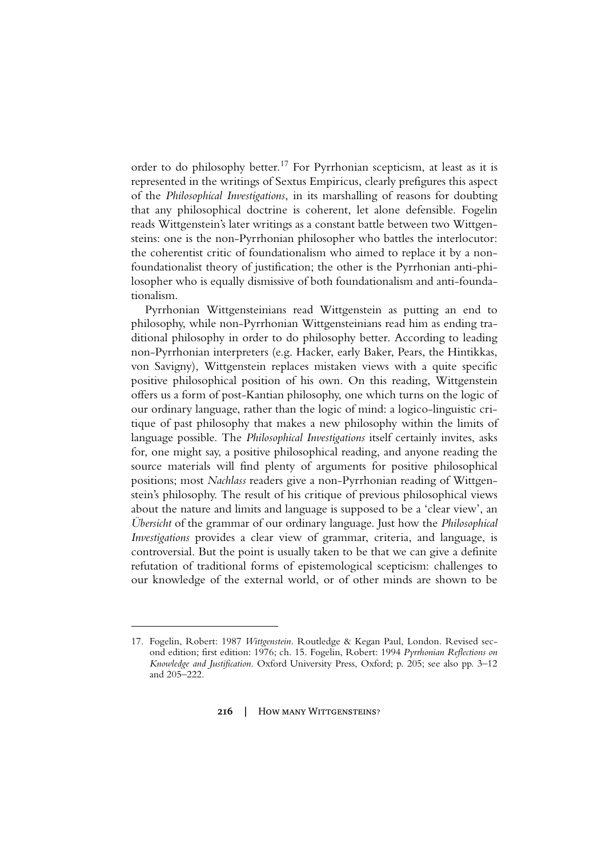order to do philosophy better.<sup>17</sup> For Pyrrhonian scepticism, at least as it is represented in the writings of Sextus Empiricus, clearly prefigures this aspect of the *Philosophical Investigations*, in its marshalling of reasons for doubting that any philosophical doctrine is coherent, let alone defensible. Fogelin reads Wittgenstein's later writings as a constant battle between two Wittgensteins: one is the non-Pyrrhonian philosopher who battles the interlocutor: the coherentist critic of foundationalism who aimed to replace it by a nonfoundationalist theory of justification; the other is the Pyrrhonian anti-philosopher who is equally dismissive of both foundationalism and anti-foundationalism.

Pyrrhonian Wittgensteinians read Wittgenstein as putting an end to philosophy, while non-Pyrrhonian Wittgensteinians read him as ending traditional philosophy in order to do philosophy better. According to leading non-Pyrrhonian interpreters (e.g. Hacker, early Baker, Pears, the Hintikkas, von Savigny), Wittgenstein replaces mistaken views with a quite specific positive philosophical position of his own. On this reading, Wittgenstein offers us a form of post-Kantian philosophy, one which turns on the logic of our ordinary language, rather than the logic of mind: a logico-linguistic critique of past philosophy that makes a new philosophy within the limits of language possible. The *Philosophical Investigations* itself certainly invites, asks for, one might say, a positive philosophical reading, and anyone reading the source materials will find plenty of arguments for positive philosophical positions; most *Nachlass* readers give a non-Pyrrhonian reading of Wittgenstein's philosophy. The result of his critique of previous philosophical views about the nature and limits and language is supposed to be a 'clear view', an *Übersicht* of the grammar of our ordinary language. Just how the *Philosophical Investigations* provides a clear view of grammar, criteria, and language, is controversial. But the point is usually taken to be that we can give a definite refutation of traditional forms of epistemological scepticism: challenges to our knowledge of the external world, or of other minds are shown to be

<sup>17.</sup> Fogelin, Robert: 1987 *Wittgenstein*. Routledge & Kegan Paul, London. Revised second edition; first edition: 1976; ch. 15. Fogelin, Robert: 1994 *Pyrrhonian Reflections on Knowledge and Justification*. Oxford University Press, Oxford; p. 205; see also pp. 3–12 and 205–222.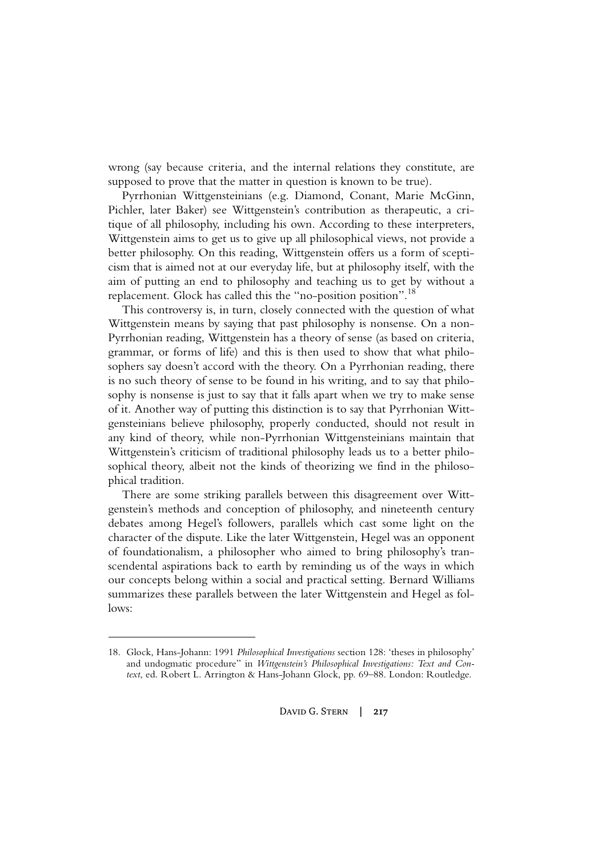wrong (say because criteria, and the internal relations they constitute, are supposed to prove that the matter in question is known to be true).

Pyrrhonian Wittgensteinians (e.g. Diamond, Conant, Marie McGinn, Pichler, later Baker) see Wittgenstein's contribution as therapeutic, a critique of all philosophy, including his own. According to these interpreters, Wittgenstein aims to get us to give up all philosophical views, not provide a better philosophy. On this reading, Wittgenstein offers us a form of scepticism that is aimed not at our everyday life, but at philosophy itself, with the aim of putting an end to philosophy and teaching us to get by without a replacement. Glock has called this the "no-position position".<sup>18</sup>

This controversy is, in turn, closely connected with the question of what Wittgenstein means by saying that past philosophy is nonsense. On a non-Pyrrhonian reading, Wittgenstein has a theory of sense (as based on criteria, grammar, or forms of life) and this is then used to show that what philosophers say doesn't accord with the theory. On a Pyrrhonian reading, there is no such theory of sense to be found in his writing, and to say that philosophy is nonsense is just to say that it falls apart when we try to make sense of it. Another way of putting this distinction is to say that Pyrrhonian Wittgensteinians believe philosophy, properly conducted, should not result in any kind of theory, while non-Pyrrhonian Wittgensteinians maintain that Wittgenstein's criticism of traditional philosophy leads us to a better philosophical theory, albeit not the kinds of theorizing we find in the philosophical tradition.

There are some striking parallels between this disagreement over Wittgenstein's methods and conception of philosophy, and nineteenth century debates among Hegel's followers, parallels which cast some light on the character of the dispute. Like the later Wittgenstein, Hegel was an opponent of foundationalism, a philosopher who aimed to bring philosophy's transcendental aspirations back to earth by reminding us of the ways in which our concepts belong within a social and practical setting. Bernard Williams summarizes these parallels between the later Wittgenstein and Hegel as follows:

<sup>18.</sup> Glock, Hans-Johann: 1991 *Philosophical Investigations* section 128: 'theses in philosophy' and undogmatic procedure" in *Wittgenstein's Philosophical Investigations: Text and Context*, ed. Robert L. Arrington & Hans-Johann Glock, pp. 69–88. London: Routledge.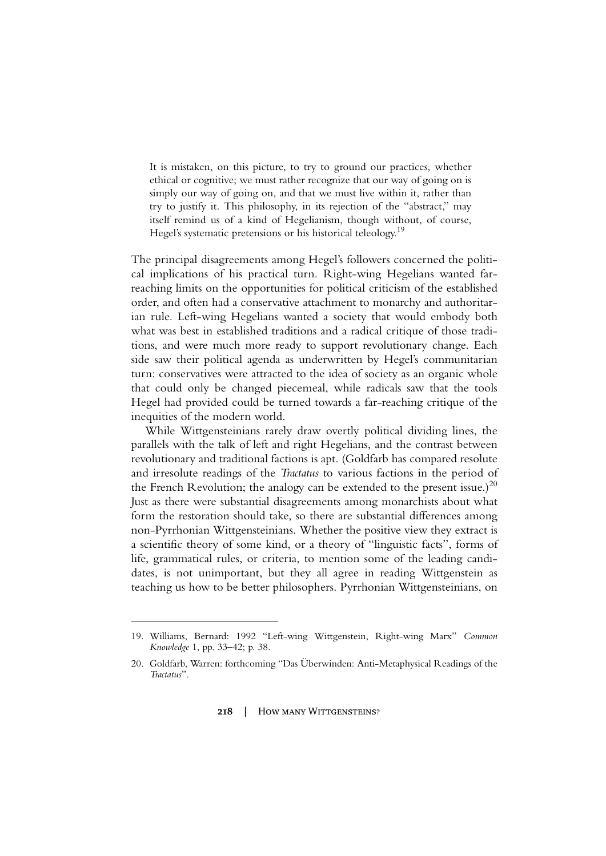It is mistaken, on this picture, to try to ground our practices, whether ethical or cognitive; we must rather recognize that our way of going on is simply our way of going on, and that we must live within it, rather than try to justify it. This philosophy, in its rejection of the "abstract," may itself remind us of a kind of Hegelianism, though without, of course, Hegel's systematic pretensions or his historical teleology.<sup>19</sup>

The principal disagreements among Hegel's followers concerned the political implications of his practical turn. Right-wing Hegelians wanted farreaching limits on the opportunities for political criticism of the established order, and often had a conservative attachment to monarchy and authoritarian rule. Left-wing Hegelians wanted a society that would embody both what was best in established traditions and a radical critique of those traditions, and were much more ready to support revolutionary change. Each side saw their political agenda as underwritten by Hegel's communitarian turn: conservatives were attracted to the idea of society as an organic whole that could only be changed piecemeal, while radicals saw that the tools Hegel had provided could be turned towards a far-reaching critique of the inequities of the modern world.

While Wittgensteinians rarely draw overtly political dividing lines, the parallels with the talk of left and right Hegelians, and the contrast between revolutionary and traditional factions is apt. (Goldfarb has compared resolute and irresolute readings of the *Tractatus* to various factions in the period of the French Revolution; the analogy can be extended to the present issue.)<sup>20</sup> Just as there were substantial disagreements among monarchists about what form the restoration should take, so there are substantial differences among non-Pyrrhonian Wittgensteinians. Whether the positive view they extract is a scientific theory of some kind, or a theory of "linguistic facts", forms of life, grammatical rules, or criteria, to mention some of the leading candidates, is not unimportant, but they all agree in reading Wittgenstein as teaching us how to be better philosophers. Pyrrhonian Wittgensteinians, on

<sup>19.</sup> Williams, Bernard: 1992 "Left-wing Wittgenstein, Right-wing Marx" *Common Knowledge* 1, pp. 33–42; p. 38.

<sup>20.</sup> Goldfarb, Warren: forthcoming "Das Überwinden: Anti-Metaphysical Readings of the *Tractatus*".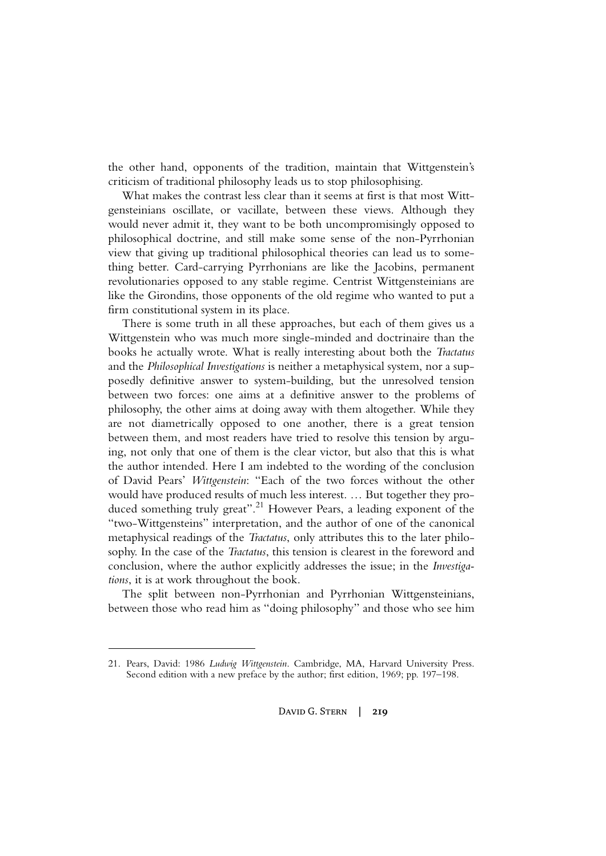the other hand, opponents of the tradition, maintain that Wittgenstein's criticism of traditional philosophy leads us to stop philosophising.

What makes the contrast less clear than it seems at first is that most Wittgensteinians oscillate, or vacillate, between these views. Although they would never admit it, they want to be both uncompromisingly opposed to philosophical doctrine, and still make some sense of the non-Pyrrhonian view that giving up traditional philosophical theories can lead us to something better. Card-carrying Pyrrhonians are like the Jacobins, permanent revolutionaries opposed to any stable regime. Centrist Wittgensteinians are like the Girondins, those opponents of the old regime who wanted to put a firm constitutional system in its place.

There is some truth in all these approaches, but each of them gives us a Wittgenstein who was much more single-minded and doctrinaire than the books he actually wrote. What is really interesting about both the *Tractatus* and the *Philosophical Investigations* is neither a metaphysical system, nor a supposedly definitive answer to system-building, but the unresolved tension between two forces: one aims at a definitive answer to the problems of philosophy, the other aims at doing away with them altogether. While they are not diametrically opposed to one another, there is a great tension between them, and most readers have tried to resolve this tension by arguing, not only that one of them is the clear victor, but also that this is what the author intended. Here I am indebted to the wording of the conclusion of David Pears' *Wittgenstein*: "Each of the two forces without the other would have produced results of much less interest. … But together they produced something truly great".<sup>21</sup> However Pears, a leading exponent of the "two-Wittgensteins" interpretation, and the author of one of the canonical metaphysical readings of the *Tractatus*, only attributes this to the later philosophy. In the case of the *Tractatus*, this tension is clearest in the foreword and conclusion, where the author explicitly addresses the issue; in the *Investigations*, it is at work throughout the book.

The split between non-Pyrrhonian and Pyrrhonian Wittgensteinians, between those who read him as "doing philosophy" and those who see him

<sup>21.</sup> Pears, David: 1986 *Ludwig Wittgenstein*. Cambridge, MA, Harvard University Press. Second edition with a new preface by the author; first edition, 1969; pp. 197–198.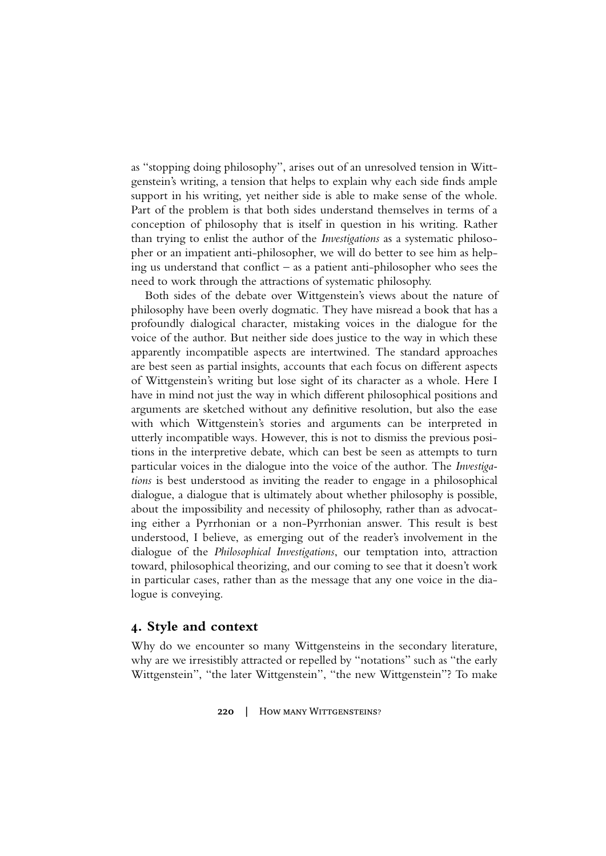as "stopping doing philosophy", arises out of an unresolved tension in Wittgenstein's writing, a tension that helps to explain why each side finds ample support in his writing, yet neither side is able to make sense of the whole. Part of the problem is that both sides understand themselves in terms of a conception of philosophy that is itself in question in his writing. Rather than trying to enlist the author of the *Investigations* as a systematic philosopher or an impatient anti-philosopher, we will do better to see him as helping us understand that conflict – as a patient anti-philosopher who sees the need to work through the attractions of systematic philosophy.

Both sides of the debate over Wittgenstein's views about the nature of philosophy have been overly dogmatic. They have misread a book that has a profoundly dialogical character, mistaking voices in the dialogue for the voice of the author. But neither side does justice to the way in which these apparently incompatible aspects are intertwined. The standard approaches are best seen as partial insights, accounts that each focus on different aspects of Wittgenstein's writing but lose sight of its character as a whole. Here I have in mind not just the way in which different philosophical positions and arguments are sketched without any definitive resolution, but also the ease with which Wittgenstein's stories and arguments can be interpreted in utterly incompatible ways. However, this is not to dismiss the previous positions in the interpretive debate, which can best be seen as attempts to turn particular voices in the dialogue into the voice of the author. The *Investigations* is best understood as inviting the reader to engage in a philosophical dialogue, a dialogue that is ultimately about whether philosophy is possible, about the impossibility and necessity of philosophy, rather than as advocating either a Pyrrhonian or a non-Pyrrhonian answer. This result is best understood, I believe, as emerging out of the reader's involvement in the dialogue of the *Philosophical Investigations*, our temptation into, attraction toward, philosophical theorizing, and our coming to see that it doesn't work in particular cases, rather than as the message that any one voice in the dialogue is conveying.

## **4. Style and context**

Why do we encounter so many Wittgensteins in the secondary literature, why are we irresistibly attracted or repelled by "notations" such as "the early Wittgenstein", "the later Wittgenstein", "the new Wittgenstein"? To make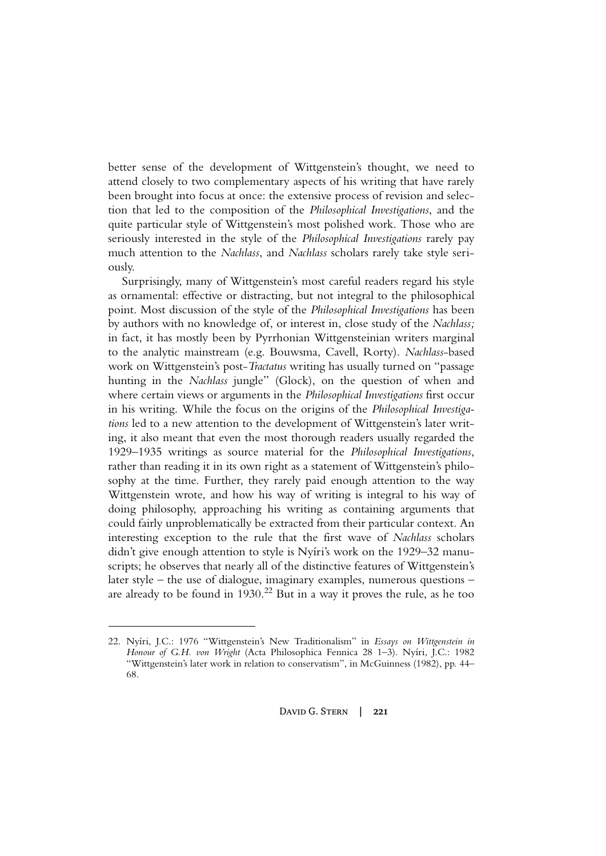better sense of the development of Wittgenstein's thought, we need to attend closely to two complementary aspects of his writing that have rarely been brought into focus at once: the extensive process of revision and selection that led to the composition of the *Philosophical Investigations*, and the quite particular style of Wittgenstein's most polished work. Those who are seriously interested in the style of the *Philosophical Investigations* rarely pay much attention to the *Nachlass*, and *Nachlass* scholars rarely take style seriously.

Surprisingly, many of Wittgenstein's most careful readers regard his style as ornamental: effective or distracting, but not integral to the philosophical point. Most discussion of the style of the *Philosophical Investigations* has been by authors with no knowledge of, or interest in, close study of the *Nachlass;* in fact, it has mostly been by Pyrrhonian Wittgensteinian writers marginal to the analytic mainstream (e.g. Bouwsma, Cavell, Rorty). *Nachlass*-based work on Wittgenstein's post-*Tractatus* writing has usually turned on "passage hunting in the *Nachlass* jungle" (Glock), on the question of when and where certain views or arguments in the *Philosophical Investigations* first occur in his writing. While the focus on the origins of the *Philosophical Investigations* led to a new attention to the development of Wittgenstein's later writing, it also meant that even the most thorough readers usually regarded the 1929–1935 writings as source material for the *Philosophical Investigations*, rather than reading it in its own right as a statement of Wittgenstein's philosophy at the time. Further, they rarely paid enough attention to the way Wittgenstein wrote, and how his way of writing is integral to his way of doing philosophy, approaching his writing as containing arguments that could fairly unproblematically be extracted from their particular context. An interesting exception to the rule that the first wave of *Nachlass* scholars didn't give enough attention to style is Nyíri's work on the 1929–32 manuscripts; he observes that nearly all of the distinctive features of Wittgenstein's later style – the use of dialogue, imaginary examples, numerous questions – are already to be found in  $1930.<sup>22</sup>$  But in a way it proves the rule, as he too

<sup>22.</sup> Nyíri, J.C.: 1976 "Wittgenstein's New Traditionalism" in *Essays on Wittgenstein in Honour of G.H. von Wright* (Acta Philosophica Fennica 28 1–3). Nyíri, J.C.: 1982 "Wittgenstein's later work in relation to conservatism", in McGuinness (1982), pp. 44– 68.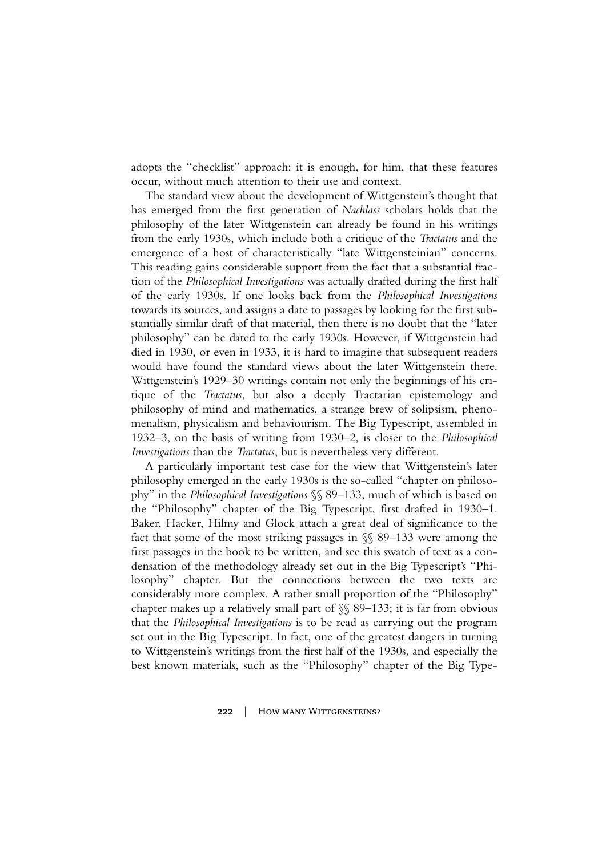adopts the "checklist" approach: it is enough, for him, that these features occur, without much attention to their use and context.

The standard view about the development of Wittgenstein's thought that has emerged from the first generation of *Nachlass* scholars holds that the philosophy of the later Wittgenstein can already be found in his writings from the early 1930s, which include both a critique of the *Tractatus* and the emergence of a host of characteristically "late Wittgensteinian" concerns. This reading gains considerable support from the fact that a substantial fraction of the *Philosophical Investigations* was actually drafted during the first half of the early 1930s. If one looks back from the *Philosophical Investigations* towards its sources, and assigns a date to passages by looking for the first substantially similar draft of that material, then there is no doubt that the "later philosophy" can be dated to the early 1930s. However, if Wittgenstein had died in 1930, or even in 1933, it is hard to imagine that subsequent readers would have found the standard views about the later Wittgenstein there. Wittgenstein's 1929–30 writings contain not only the beginnings of his critique of the *Tractatus*, but also a deeply Tractarian epistemology and philosophy of mind and mathematics, a strange brew of solipsism, phenomenalism, physicalism and behaviourism. The Big Typescript, assembled in 1932–3, on the basis of writing from 1930–2, is closer to the *Philosophical Investigations* than the *Tractatus*, but is nevertheless very different.

A particularly important test case for the view that Wittgenstein's later philosophy emerged in the early 1930s is the so-called "chapter on philosophy" in the *Philosophical Investigations* §§ 89–133, much of which is based on the "Philosophy" chapter of the Big Typescript, first drafted in 1930–1. Baker, Hacker, Hilmy and Glock attach a great deal of significance to the fact that some of the most striking passages in §§ 89–133 were among the first passages in the book to be written, and see this swatch of text as a condensation of the methodology already set out in the Big Typescript's "Philosophy" chapter. But the connections between the two texts are considerably more complex. A rather small proportion of the "Philosophy" chapter makes up a relatively small part of  $\$  89–133; it is far from obvious that the *Philosophical Investigations* is to be read as carrying out the program set out in the Big Typescript*.* In fact, one of the greatest dangers in turning to Wittgenstein's writings from the first half of the 1930s, and especially the best known materials, such as the "Philosophy" chapter of the Big Type-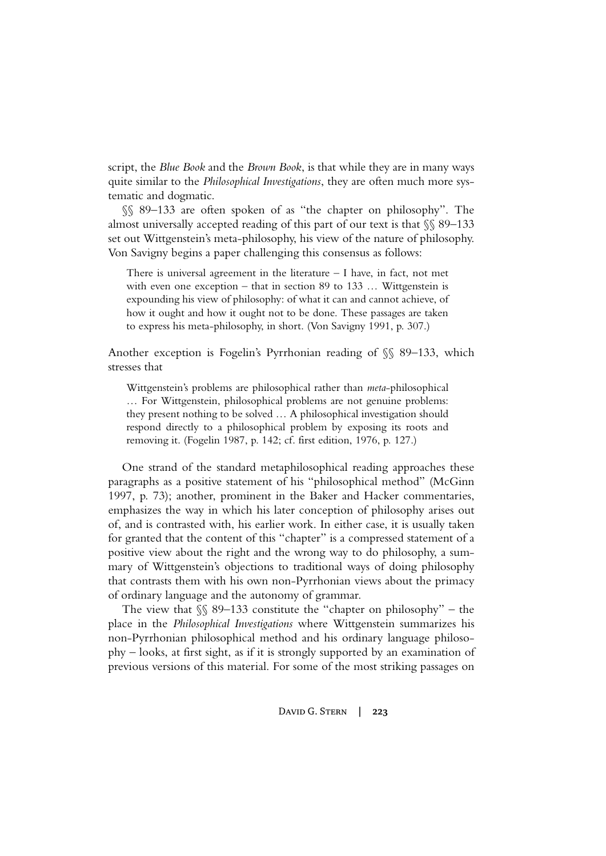script, the *Blue Book* and the *Brown Book*, is that while they are in many ways quite similar to the *Philosophical Investigations*, they are often much more systematic and dogmatic.

§§ 89–133 are often spoken of as "the chapter on philosophy". The almost universally accepted reading of this part of our text is that §§ 89–133 set out Wittgenstein's meta-philosophy, his view of the nature of philosophy. Von Savigny begins a paper challenging this consensus as follows:

There is universal agreement in the literature  $-$  I have, in fact, not met with even one exception – that in section 89 to 133 ... Wittgenstein is expounding his view of philosophy: of what it can and cannot achieve, of how it ought and how it ought not to be done. These passages are taken to express his meta-philosophy, in short. (Von Savigny 1991, p. 307.)

Another exception is Fogelin's Pyrrhonian reading of §§ 89–133, which stresses that

Wittgenstein's problems are philosophical rather than *meta*-philosophical … For Wittgenstein, philosophical problems are not genuine problems: they present nothing to be solved … A philosophical investigation should respond directly to a philosophical problem by exposing its roots and removing it. (Fogelin 1987, p. 142; cf. first edition, 1976, p. 127.)

One strand of the standard metaphilosophical reading approaches these paragraphs as a positive statement of his "philosophical method" (McGinn 1997, p. 73); another, prominent in the Baker and Hacker commentaries, emphasizes the way in which his later conception of philosophy arises out of, and is contrasted with, his earlier work. In either case, it is usually taken for granted that the content of this "chapter" is a compressed statement of a positive view about the right and the wrong way to do philosophy, a summary of Wittgenstein's objections to traditional ways of doing philosophy that contrasts them with his own non-Pyrrhonian views about the primacy of ordinary language and the autonomy of grammar.

The view that  $\S$  89–133 constitute the "chapter on philosophy" – the place in the *Philosophical Investigations* where Wittgenstein summarizes his non-Pyrrhonian philosophical method and his ordinary language philosophy – looks, at first sight, as if it is strongly supported by an examination of previous versions of this material. For some of the most striking passages on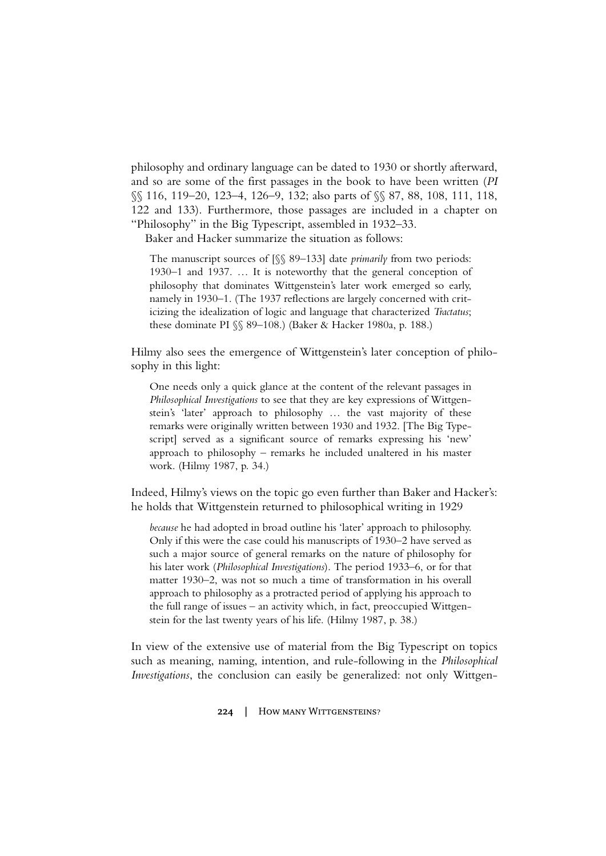philosophy and ordinary language can be dated to 1930 or shortly afterward, and so are some of the first passages in the book to have been written (*PI* §§ 116, 119–20, 123–4, 126–9, 132; also parts of §§ 87, 88, 108, 111, 118, 122 and 133). Furthermore, those passages are included in a chapter on "Philosophy" in the Big Typescript, assembled in 1932–33.

Baker and Hacker summarize the situation as follows:

The manuscript sources of [§§ 89–133] date *primarily* from two periods: 1930–1 and 1937. … It is noteworthy that the general conception of philosophy that dominates Wittgenstein's later work emerged so early, namely in 1930–1. (The 1937 reflections are largely concerned with criticizing the idealization of logic and language that characterized *Tractatus*; these dominate PI §§ 89–108.) (Baker & Hacker 1980a, p. 188.)

Hilmy also sees the emergence of Wittgenstein's later conception of philosophy in this light:

One needs only a quick glance at the content of the relevant passages in *Philosophical Investigations* to see that they are key expressions of Wittgenstein's 'later' approach to philosophy … the vast majority of these remarks were originally written between 1930 and 1932. [The Big Typescript] served as a significant source of remarks expressing his 'new' approach to philosophy – remarks he included unaltered in his master work. (Hilmy 1987, p. 34.)

Indeed, Hilmy's views on the topic go even further than Baker and Hacker's: he holds that Wittgenstein returned to philosophical writing in 1929

*because* he had adopted in broad outline his 'later' approach to philosophy. Only if this were the case could his manuscripts of 1930–2 have served as such a major source of general remarks on the nature of philosophy for his later work (*Philosophical Investigations*). The period 1933–6, or for that matter 1930–2, was not so much a time of transformation in his overall approach to philosophy as a protracted period of applying his approach to the full range of issues – an activity which, in fact, preoccupied Wittgenstein for the last twenty years of his life. (Hilmy 1987, p. 38.)

In view of the extensive use of material from the Big Typescript on topics such as meaning, naming, intention, and rule-following in the *Philosophical Investigations*, the conclusion can easily be generalized: not only Wittgen-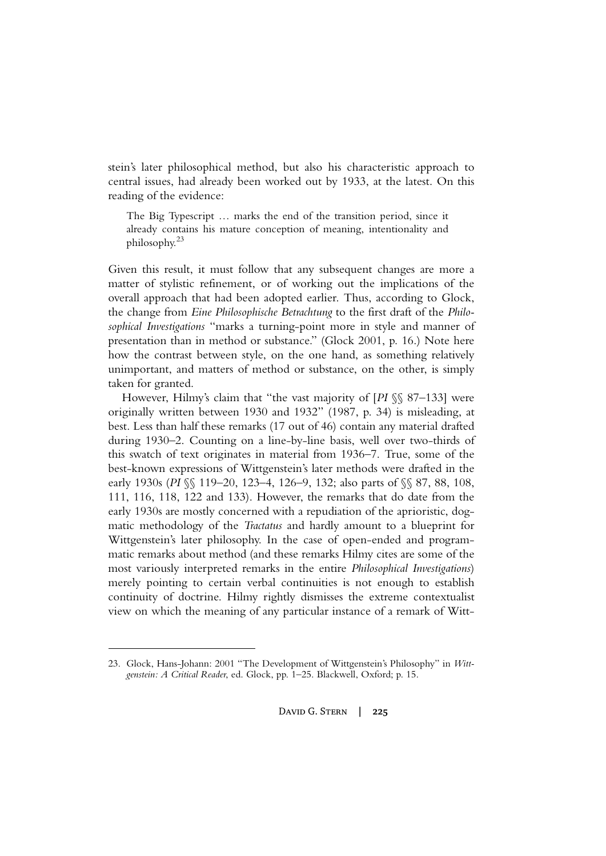stein's later philosophical method, but also his characteristic approach to central issues, had already been worked out by 1933, at the latest. On this reading of the evidence:

The Big Typescript … marks the end of the transition period, since it already contains his mature conception of meaning, intentionality and philosophy.<sup>23</sup>

Given this result, it must follow that any subsequent changes are more a matter of stylistic refinement, or of working out the implications of the overall approach that had been adopted earlier. Thus, according to Glock, the change from *Eine Philosophische Betrachtung* to the first draft of the *Philosophical Investigations* "marks a turning-point more in style and manner of presentation than in method or substance." (Glock 2001, p. 16.) Note here how the contrast between style, on the one hand, as something relatively unimportant, and matters of method or substance, on the other, is simply taken for granted.

However, Hilmy's claim that "the vast majority of [*PI* §§ 87–133] were originally written between 1930 and 1932" (1987, p. 34) is misleading, at best. Less than half these remarks (17 out of 46) contain any material drafted during 1930–2. Counting on a line-by-line basis, well over two-thirds of this swatch of text originates in material from 1936–7. True, some of the best-known expressions of Wittgenstein's later methods were drafted in the early 1930s (*PI* §§ 119–20, 123–4, 126–9, 132; also parts of §§ 87, 88, 108, 111, 116, 118, 122 and 133). However, the remarks that do date from the early 1930s are mostly concerned with a repudiation of the aprioristic, dogmatic methodology of the *Tractatus* and hardly amount to a blueprint for Wittgenstein's later philosophy. In the case of open-ended and programmatic remarks about method (and these remarks Hilmy cites are some of the most variously interpreted remarks in the entire *Philosophical Investigations*) merely pointing to certain verbal continuities is not enough to establish continuity of doctrine. Hilmy rightly dismisses the extreme contextualist view on which the meaning of any particular instance of a remark of Witt-

<sup>23.</sup> Glock, Hans-Johann: 2001 "The Development of Wittgenstein's Philosophy" in *Wittgenstein: A Critical Reader*, ed. Glock, pp. 1–25. Blackwell, Oxford; p. 15.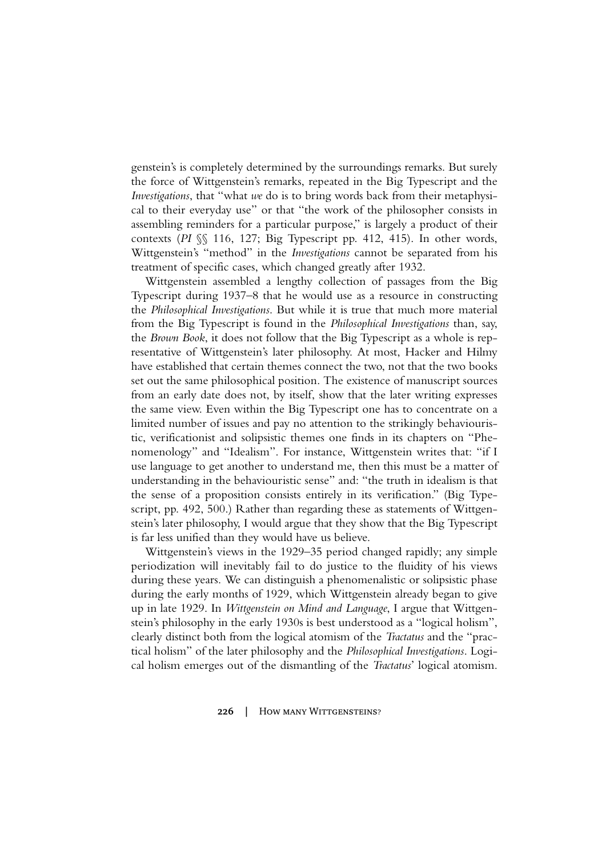genstein's is completely determined by the surroundings remarks. But surely the force of Wittgenstein's remarks, repeated in the Big Typescript and the *Investigations*, that "what *we* do is to bring words back from their metaphysical to their everyday use" or that "the work of the philosopher consists in assembling reminders for a particular purpose," is largely a product of their contexts (*PI* §§ 116, 127; Big Typescript pp. 412, 415). In other words, Wittgenstein's "method" in the *Investigations* cannot be separated from his treatment of specific cases, which changed greatly after 1932.

Wittgenstein assembled a lengthy collection of passages from the Big Typescript during 1937–8 that he would use as a resource in constructing the *Philosophical Investigations*. But while it is true that much more material from the Big Typescript is found in the *Philosophical Investigations* than, say, the *Brown Book*, it does not follow that the Big Typescript as a whole is representative of Wittgenstein's later philosophy. At most, Hacker and Hilmy have established that certain themes connect the two, not that the two books set out the same philosophical position. The existence of manuscript sources from an early date does not, by itself, show that the later writing expresses the same view. Even within the Big Typescript one has to concentrate on a limited number of issues and pay no attention to the strikingly behaviouristic, verificationist and solipsistic themes one finds in its chapters on "Phenomenology" and "Idealism". For instance, Wittgenstein writes that: "if I use language to get another to understand me, then this must be a matter of understanding in the behaviouristic sense" and: "the truth in idealism is that the sense of a proposition consists entirely in its verification." (Big Typescript, pp. 492, 500.) Rather than regarding these as statements of Wittgenstein's later philosophy, I would argue that they show that the Big Typescript is far less unified than they would have us believe.

Wittgenstein's views in the 1929–35 period changed rapidly; any simple periodization will inevitably fail to do justice to the fluidity of his views during these years. We can distinguish a phenomenalistic or solipsistic phase during the early months of 1929, which Wittgenstein already began to give up in late 1929. In *Wittgenstein on Mind and Language*, I argue that Wittgenstein's philosophy in the early 1930s is best understood as a "logical holism", clearly distinct both from the logical atomism of the *Tractatus* and the "practical holism" of the later philosophy and the *Philosophical Investigations*. Logical holism emerges out of the dismantling of the *Tractatus*' logical atomism.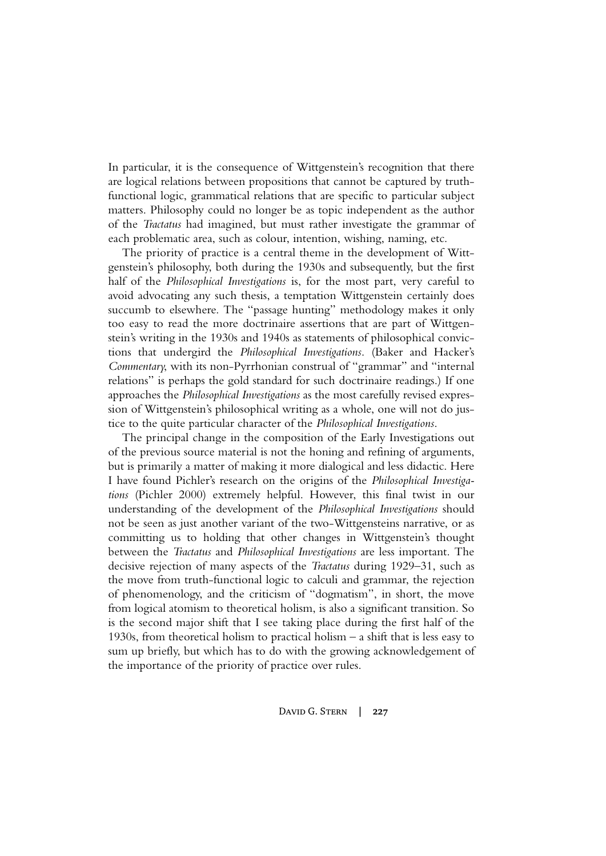In particular, it is the consequence of Wittgenstein's recognition that there are logical relations between propositions that cannot be captured by truthfunctional logic, grammatical relations that are specific to particular subject matters. Philosophy could no longer be as topic independent as the author of the *Tractatus* had imagined, but must rather investigate the grammar of each problematic area, such as colour, intention, wishing, naming, etc.

The priority of practice is a central theme in the development of Wittgenstein's philosophy, both during the 1930s and subsequently, but the first half of the *Philosophical Investigations* is, for the most part, very careful to avoid advocating any such thesis, a temptation Wittgenstein certainly does succumb to elsewhere. The "passage hunting" methodology makes it only too easy to read the more doctrinaire assertions that are part of Wittgenstein's writing in the 1930s and 1940s as statements of philosophical convictions that undergird the *Philosophical Investigations*. (Baker and Hacker's *Commentary*, with its non-Pyrrhonian construal of "grammar" and "internal relations" is perhaps the gold standard for such doctrinaire readings.) If one approaches the *Philosophical Investigations* as the most carefully revised expression of Wittgenstein's philosophical writing as a whole, one will not do justice to the quite particular character of the *Philosophical Investigations*.

The principal change in the composition of the Early Investigations out of the previous source material is not the honing and refining of arguments, but is primarily a matter of making it more dialogical and less didactic. Here I have found Pichler's research on the origins of the *Philosophical Investigations* (Pichler 2000) extremely helpful. However, this final twist in our understanding of the development of the *Philosophical Investigations* should not be seen as just another variant of the two-Wittgensteins narrative, or as committing us to holding that other changes in Wittgenstein's thought between the *Tractatus* and *Philosophical Investigations* are less important. The decisive rejection of many aspects of the *Tractatus* during 1929–31, such as the move from truth-functional logic to calculi and grammar, the rejection of phenomenology, and the criticism of "dogmatism", in short, the move from logical atomism to theoretical holism, is also a significant transition. So is the second major shift that I see taking place during the first half of the 1930s, from theoretical holism to practical holism – a shift that is less easy to sum up briefly, but which has to do with the growing acknowledgement of the importance of the priority of practice over rules.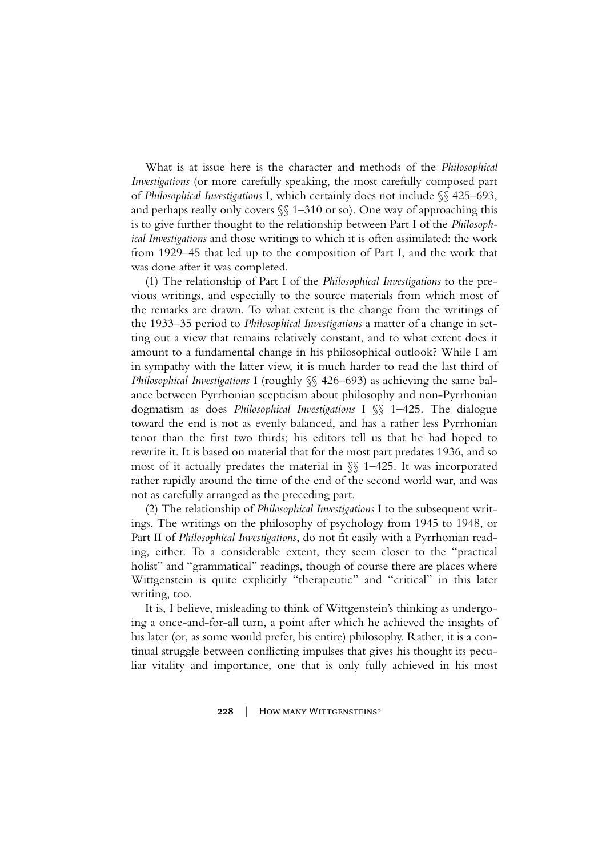What is at issue here is the character and methods of the *Philosophical Investigations* (or more carefully speaking, the most carefully composed part of *Philosophical Investigations* I, which certainly does not include §§ 425–693, and perhaps really only covers  $\S$  1–310 or so). One way of approaching this is to give further thought to the relationship between Part I of the *Philosophical Investigations* and those writings to which it is often assimilated: the work from 1929–45 that led up to the composition of Part I, and the work that was done after it was completed.

(1) The relationship of Part I of the *Philosophical Investigations* to the previous writings, and especially to the source materials from which most of the remarks are drawn. To what extent is the change from the writings of the 1933–35 period to *Philosophical Investigations* a matter of a change in setting out a view that remains relatively constant, and to what extent does it amount to a fundamental change in his philosophical outlook? While I am in sympathy with the latter view, it is much harder to read the last third of *Philosophical Investigations* I (roughly §§ 426–693) as achieving the same balance between Pyrrhonian scepticism about philosophy and non-Pyrrhonian dogmatism as does *Philosophical Investigations* I §§ 1–425. The dialogue toward the end is not as evenly balanced, and has a rather less Pyrrhonian tenor than the first two thirds; his editors tell us that he had hoped to rewrite it. It is based on material that for the most part predates 1936, and so most of it actually predates the material in §§ 1–425. It was incorporated rather rapidly around the time of the end of the second world war, and was not as carefully arranged as the preceding part.

(2) The relationship of *Philosophical Investigations* I to the subsequent writings. The writings on the philosophy of psychology from 1945 to 1948, or Part II of *Philosophical Investigations*, do not fit easily with a Pyrrhonian reading, either. To a considerable extent, they seem closer to the "practical holist" and "grammatical" readings, though of course there are places where Wittgenstein is quite explicitly "therapeutic" and "critical" in this later writing, too.

It is, I believe, misleading to think of Wittgenstein's thinking as undergoing a once-and-for-all turn, a point after which he achieved the insights of his later (or, as some would prefer, his entire) philosophy. Rather, it is a continual struggle between conflicting impulses that gives his thought its peculiar vitality and importance, one that is only fully achieved in his most